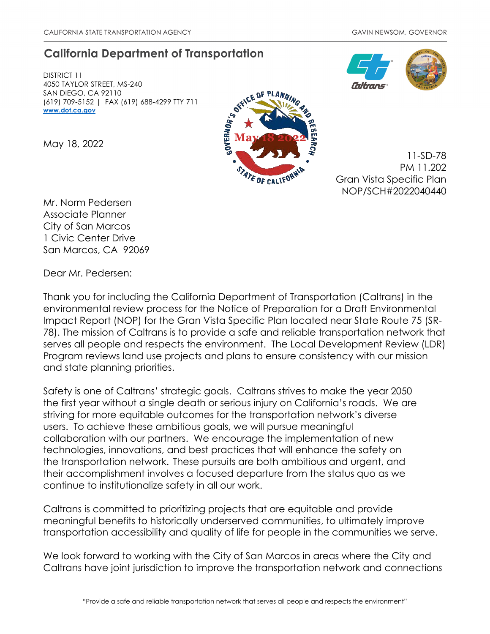# **California Department of Transportation**

DISTRICT 11 4050 TAYLOR STREET, MS-240 SAN DIEGO, CA 92110 (619) 709-5152 | FAX (619) 688-4299 TTY 711 **[www.dot.ca.gov](http://www.dot.ca.gov/)**

May 18, 2022



11-SD-78 PM 11.202 Gran Vista Specific Plan NOP/SCH#2022040440

Mr. Norm Pedersen Associate Planner City of San Marcos 1 Civic Center Drive San Marcos, CA 92069

Dear Mr. Pedersen:

Thank you for including the California Department of Transportation (Caltrans) in the environmental review process for the Notice of Preparation for a Draft Environmental Impact Report (NOP) for the Gran Vista Specific Plan located near State Route 75 (SR-78). The mission of Caltrans is to provide a safe and reliable transportation network that serves all people and respects the environment. The Local Development Review (LDR) Program reviews land use projects and plans to ensure consistency with our mission and state planning priorities.

Safety is one of Caltrans' strategic goals. Caltrans strives to make the year 2050 the first year without a single death or serious injury on California's roads. We are striving for more equitable outcomes for the transportation network's diverse users. To achieve these ambitious goals, we will pursue meaningful collaboration with our partners. We encourage the implementation of new technologies, innovations, and best practices that will enhance the safety on the transportation network. These pursuits are both ambitious and urgent, and their accomplishment involves a focused departure from the status quo as we continue to institutionalize safety in all our work.

Caltrans is committed to prioritizing projects that are equitable and provide meaningful benefits to historically underserved communities, to ultimately improve transportation accessibility and quality of life for people in the communities we serve.

We look forward to working with the City of San Marcos in areas where the City and Caltrans have joint jurisdiction to improve the transportation network and connections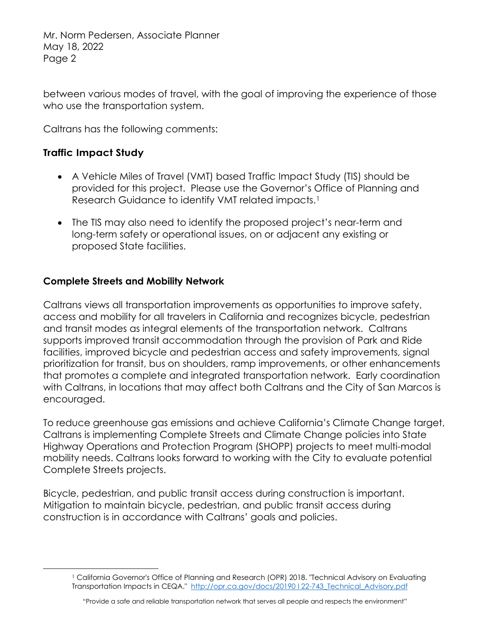Mr. Norm Pedersen, Associate Planner May 18, 2022 Page 2

between various modes of travel, with the goal of improving the experience of those who use the transportation system.

Caltrans has the following comments:

## **Traffic Impact Study**

- A Vehicle Miles of Travel (VMT) based Traffic Impact Study (TIS) should be provided for this project. Please use the Governor's Office of Planning and Research Guidance to identify VMT related impacts.<sup>1</sup>
- The TIS may also need to identify the proposed project's near-term and long-term safety or operational issues, on or adjacent any existing or proposed State facilities.

#### **Complete Streets and Mobility Network**

Caltrans views all transportation improvements as opportunities to improve safety, access and mobility for all travelers in California and recognizes bicycle, pedestrian and transit modes as integral elements of the transportation network. Caltrans supports improved transit accommodation through the provision of Park and Ride facilities, improved bicycle and pedestrian access and safety improvements, signal prioritization for transit, bus on shoulders, ramp improvements, or other enhancements that promotes a complete and integrated transportation network. Early coordination with Caltrans, in locations that may affect both Caltrans and the City of San Marcos is encouraged.

To reduce greenhouse gas emissions and achieve California's Climate Change target, Caltrans is implementing Complete Streets and Climate Change policies into State Highway Operations and Protection Program (SHOPP) projects to meet multi-modal mobility needs. Caltrans looks forward to working with the City to evaluate potential Complete Streets projects.

Bicycle, pedestrian, and public transit access during construction is important. Mitigation to maintain bicycle, pedestrian, and public transit access during construction is in accordance with Caltrans' goals and policies.

<span id="page-1-0"></span><sup>1</sup> California Governor's Office of Planning and Research (OPR) 2018. "Technical Advisory on Evaluating Transportation Impacts in CEQA." http://opr.ca.gov/docs/20190122-743 Technical Advisory.pdf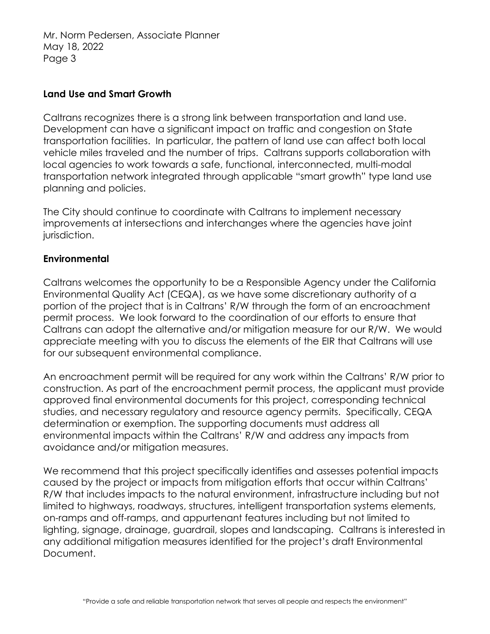Mr. Norm Pedersen, Associate Planner May 18, 2022 Page 3

#### **Land Use and Smart Growth**

Caltrans recognizes there is a strong link between transportation and land use. Development can have a significant impact on traffic and congestion on State transportation facilities. In particular, the pattern of land use can affect both local vehicle miles traveled and the number of trips. Caltrans supports collaboration with local agencies to work towards a safe, functional, interconnected, multi-modal transportation network integrated through applicable "smart growth" type land use planning and policies.

The City should continue to coordinate with Caltrans to implement necessary improvements at intersections and interchanges where the agencies have joint jurisdiction.

## **Environmental**

Caltrans welcomes the opportunity to be a Responsible Agency under the California Environmental Quality Act (CEQA), as we have some discretionary authority of a portion of the project that is in Caltrans' R/W through the form of an encroachment permit process. We look forward to the coordination of our efforts to ensure that Caltrans can adopt the alternative and/or mitigation measure for our R/W. We would appreciate meeting with you to discuss the elements of the EIR that Caltrans will use for our subsequent environmental compliance.

An encroachment permit will be required for any work within the Caltrans' R/W prior to construction. As part of the encroachment permit process, the applicant must provide approved final environmental documents for this project, corresponding technical studies, and necessary regulatory and resource agency permits. Specifically, CEQA determination or exemption. The supporting documents must address all environmental impacts within the Caltrans' R/W and address any impacts from avoidance and/or mitigation measures.

We recommend that this project specifically identifies and assesses potential impacts caused by the project or impacts from mitigation efforts that occur within Caltrans' R/W that includes impacts to the natural environment, infrastructure including but not limited to highways, roadways, structures, intelligent transportation systems elements, on-ramps and off-ramps, and appurtenant features including but not limited to lighting, signage, drainage, guardrail, slopes and landscaping. Caltrans is interested in any additional mitigation measures identified for the project's draft Environmental Document.